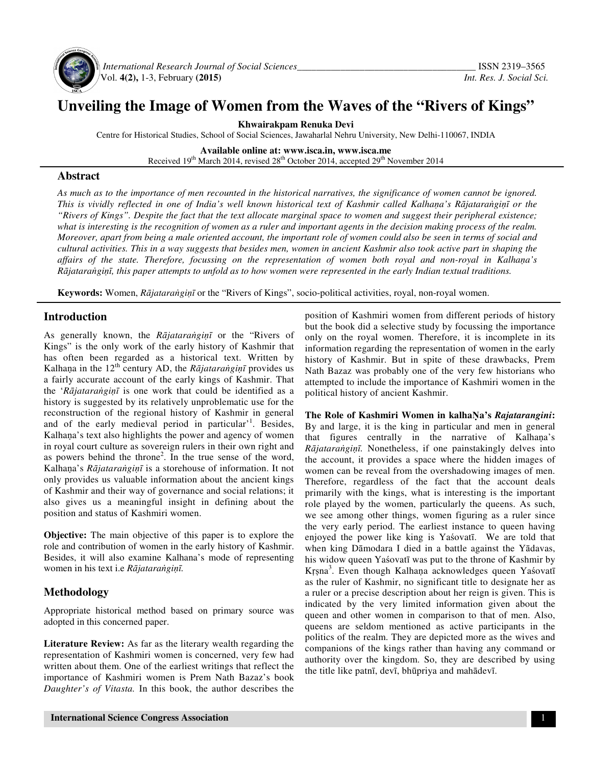

 *International Research Journal of Social Sciences\_\_\_\_\_\_\_\_\_\_\_\_\_\_\_\_\_\_\_\_\_\_\_\_\_\_\_\_\_\_\_\_\_\_\_\_\_* ISSN 2319–3565 Vol. **4(2),** 1-3, February **(2015)** *Int. Res. J. Social Sci.*

# **Unveiling the Image of Women from the Waves of the "Rivers of Kings"**

**Khwairakpam Renuka Devi** 

Centre for Historical Studies, School of Social Sciences, Jawaharlal Nehru University, New Delhi-110067, INDIA

**Available online at: www.isca.in, www.isca.me**  Received 19<sup>th</sup> March 2014, revised 28<sup>th</sup> October 2014, accepted 29<sup>th</sup> November 2014

### **Abstract**

*As much as to the importance of men recounted in the historical narratives, the significance of women cannot be ignored. This is vividly reflected in one of India's well known historical text of Kashmir called Kalha*ṇ*a's R*ā*jatara*ṅ*gi*ṇī *or the "Rivers of Kings". Despite the fact that the text allocate marginal space to women and suggest their peripheral existence; what is interesting is the recognition of women as a ruler and important agents in the decision making process of the realm. Moreover, apart from being a male oriented account, the important role of women could also be seen in terms of social and cultural activities. This in a way suggests that besides men, women in ancient Kashmir also took active part in shaping the affairs of the state. Therefore, focussing on the representation of women both royal and non-royal in Kalha*ṇ*a's R*ā*jatara*ṅ*gi*ṇī*, this paper attempts to unfold as to how women were represented in the early Indian textual traditions.* 

**Keywords:** Women, *R*ā*jatara*ṅ*gi*ṇī or the "Rivers of Kings", socio-political activities, royal, non-royal women.

## **Introduction**

As generally known, the *R*ā*jatara*ṅ*gi*ṇī or the "Rivers of Kings" is the only work of the early history of Kashmir that has often been regarded as a historical text. Written by Kalhaṇa in the  $12<sup>th</sup>$  century AD, the *Rājataraṅgiṇī* provides us a fairly accurate account of the early kings of Kashmir. That the '*R*ā*jatara*ṅ*gi*ṇī is one work that could be identified as a history is suggested by its relatively unproblematic use for the reconstruction of the regional history of Kashmir in general and of the early medieval period in particular<sup>1</sup>. Besides, Kalhaṇa's text also highlights the power and agency of women in royal court culture as sovereign rulers in their own right and as powers behind the throne<sup>2</sup>. In the true sense of the word, Kalhaṇa's *R*ā*jatara*ṅ*gi*ṇī is a storehouse of information. It not only provides us valuable information about the ancient kings of Kashmir and their way of governance and social relations; it also gives us a meaningful insight in defining about the position and status of Kashmiri women.

**Objective:** The main objective of this paper is to explore the role and contribution of women in the early history of Kashmir. Besides, it will also examine Kalhana's mode of representing women in his text i.e *R*ā*jatara*ṅ*gi*ṇī*.*

# **Methodology**

Appropriate historical method based on primary source was adopted in this concerned paper.

**Literature Review:** As far as the literary wealth regarding the representation of Kashmiri women is concerned, very few had written about them. One of the earliest writings that reflect the importance of Kashmiri women is Prem Nath Bazaz's book *Daughter's of Vitasta.* In this book, the author describes the

position of Kashmiri women from different periods of history but the book did a selective study by focussing the importance only on the royal women. Therefore, it is incomplete in its information regarding the representation of women in the early history of Kashmir. But in spite of these drawbacks, Prem Nath Bazaz was probably one of the very few historians who attempted to include the importance of Kashmiri women in the political history of ancient Kashmir.

**The Role of Kashmiri Women in kalha**Ṇ**a's** *Rajatarangini***:** By and large, it is the king in particular and men in general that figures centrally in the narrative of Kalhaṇa's *R*ā*jatara*ṅ*gi*ṇī*.* Nonetheless, if one painstakingly delves into the account, it provides a space where the hidden images of women can be reveal from the overshadowing images of men. Therefore, regardless of the fact that the account deals primarily with the kings, what is interesting is the important role played by the women, particularly the queens. As such, we see among other things, women figuring as a ruler since the very early period. The earliest instance to queen having enjoyed the power like king is Yaśovatī. We are told that when king Dāmodara I died in a battle against the Yādavas, his widow queen Yaśovatī was put to the throne of Kashmir by Krṣna<sup>3</sup>. Even though Kalhaṇa acknowledges queen Yaśovatī as the ruler of Kashmir, no significant title to designate her as a ruler or a precise description about her reign is given. This is indicated by the very limited information given about the queen and other women in comparison to that of men. Also, queens are seldom mentioned as active participants in the politics of the realm. They are depicted more as the wives and companions of the kings rather than having any command or authority over the kingdom. So, they are described by using the title like patnī, devī, bhūpriya and mahādevī.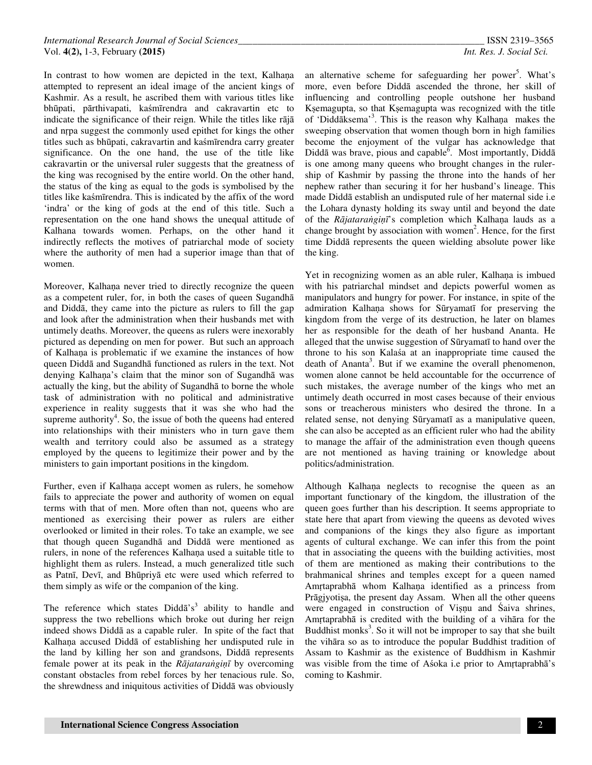In contrast to how women are depicted in the text, Kalhaṇa attempted to represent an ideal image of the ancient kings of Kashmir. As a result, he ascribed them with various titles like bhūpati, pārthivapati, kaśmīrendra and cakravartin etc to indicate the significance of their reign. While the titles like rājā and nṛpa suggest the commonly used epithet for kings the other titles such as bhūpati, cakravartin and kaśmīrendra carry greater significance. On the one hand, the use of the title like cakravartin or the universal ruler suggests that the greatness of the king was recognised by the entire world. On the other hand, the status of the king as equal to the gods is symbolised by the titles like kaśmīrendra. This is indicated by the affix of the word 'indra' or the king of gods at the end of this title. Such a representation on the one hand shows the unequal attitude of Kalhana towards women. Perhaps, on the other hand it indirectly reflects the motives of patriarchal mode of society where the authority of men had a superior image than that of women.

Moreover, Kalhaṇa never tried to directly recognize the queen as a competent ruler, for, in both the cases of queen Sugandhā and Diddā, they came into the picture as rulers to fill the gap and look after the administration when their husbands met with untimely deaths. Moreover, the queens as rulers were inexorably pictured as depending on men for power. But such an approach of Kalhaṇa is problematic if we examine the instances of how queen Diddā and Sugandhā functioned as rulers in the text. Not denying Kalhaṇa's claim that the minor son of Sugandhā was actually the king, but the ability of Sugandhā to borne the whole task of administration with no political and administrative experience in reality suggests that it was she who had the supreme authority<sup>4</sup>. So, the issue of both the queens had entered into relationships with their ministers who in turn gave them wealth and territory could also be assumed as a strategy employed by the queens to legitimize their power and by the ministers to gain important positions in the kingdom.

Further, even if Kalhana accept women as rulers, he somehow fails to appreciate the power and authority of women on equal terms with that of men. More often than not, queens who are mentioned as exercising their power as rulers are either overlooked or limited in their roles. To take an example, we see that though queen Sugandhā and Diddā were mentioned as rulers, in none of the references Kalhaṇa used a suitable title to highlight them as rulers. Instead, a much generalized title such as Patnī, Devī, and Bhūpriyā etc were used which referred to them simply as wife or the companion of the king.

The reference which states  $Didd\bar{a}^s$  ability to handle and suppress the two rebellions which broke out during her reign indeed shows Diddā as a capable ruler. In spite of the fact that Kalhaṇa accused Diddā of establishing her undisputed rule in the land by killing her son and grandsons, Diddā represents female power at its peak in the *R*ā*jatara*ṅ*gi*ṇī by overcoming constant obstacles from rebel forces by her tenacious rule. So, the shrewdness and iniquitous activities of Diddā was obviously

an alternative scheme for safeguarding her power<sup>5</sup>. What's more, even before Diddā ascended the throne, her skill of influencing and controlling people outshone her husband Kṣemagupta, so that Kṣemagupta was recognized with the title of 'Diddāksema'<sup>3</sup> . This is the reason why Kalhaṇa makes the sweeping observation that women though born in high families become the enjoyment of the vulgar has acknowledge that Diddā was brave, pious and capable<sup>6</sup>. Most importantly, Diddā is one among many queens who brought changes in the rulership of Kashmir by passing the throne into the hands of her nephew rather than securing it for her husband's lineage. This made Diddā establish an undisputed rule of her maternal side i.e the Lohara dynasty holding its sway until and beyond the date of the *R*ā*jatara*ṅ*gi*ṇī's completion which Kalhaṇa lauds as a change brought by association with women<sup>2</sup>. Hence, for the first time Diddā represents the queen wielding absolute power like the king.

Yet in recognizing women as an able ruler, Kalhana is imbued with his patriarchal mindset and depicts powerful women as manipulators and hungry for power. For instance, in spite of the admiration Kalhaṇa shows for Sūryamatī for preserving the kingdom from the verge of its destruction, he later on blames her as responsible for the death of her husband Ananta. He alleged that the unwise suggestion of Sūryamatī to hand over the throne to his son Kalaśa at an inappropriate time caused the death of Ananta<sup>3</sup>. But if we examine the overall phenomenon, women alone cannot be held accountable for the occurrence of such mistakes, the average number of the kings who met an untimely death occurred in most cases because of their envious sons or treacherous ministers who desired the throne. In a related sense, not denying Sūryamatī as a manipulative queen, she can also be accepted as an efficient ruler who had the ability to manage the affair of the administration even though queens are not mentioned as having training or knowledge about politics/administration.

Although Kalhana neglects to recognise the queen as an important functionary of the kingdom, the illustration of the queen goes further than his description. It seems appropriate to state here that apart from viewing the queens as devoted wives and companions of the kings they also figure as important agents of cultural exchange. We can infer this from the point that in associating the queens with the building activities, most of them are mentioned as making their contributions to the brahmanical shrines and temples except for a queen named Amrtaprabhā whom Kalhana identified as a princess from Prāgjyotiṣa, the present day Assam. When all the other queens were engaged in construction of Viṣṇu and Śaiva shrines, Amṛtaprabhā is credited with the building of a vihāra for the Buddhist monks<sup>3</sup>. So it will not be improper to say that she built the vihāra so as to introduce the popular Buddhist tradition of Assam to Kashmir as the existence of Buddhism in Kashmir was visible from the time of Aśoka i.e prior to Amṛtaprabhā's coming to Kashmir.